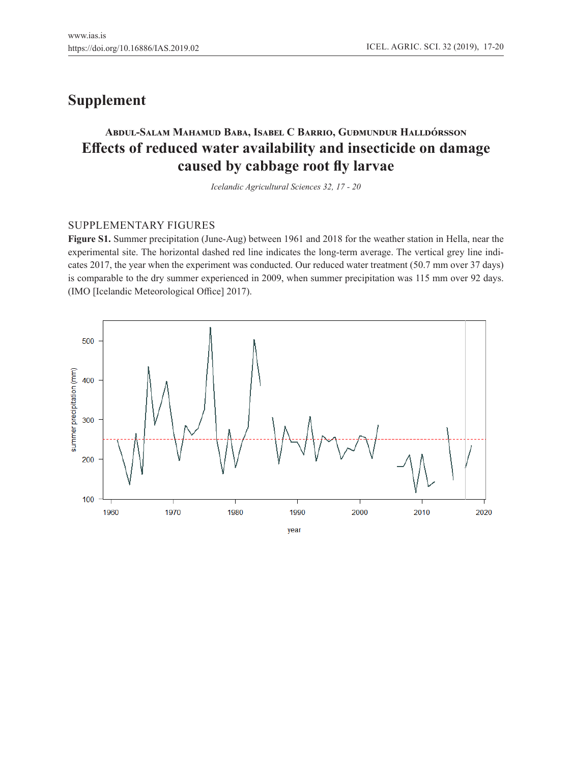# **Supplement**

# **Abdul-Salam Mahamud Baba, Isabel C Barrio, Guðmundur Halldórsson Effects of reduced water availability and insecticide on damage caused by cabbage root fly larvae**

*Icelandic Agricultural Sciences 32, 17 - 20*

## SUPPLEMENTARY FIGURES

**Figure S1.** Summer precipitation (June-Aug) between 1961 and 2018 for the weather station in Hella, near the experimental site. The horizontal dashed red line indicates the long-term average. The vertical grey line indicates 2017, the year when the experiment was conducted. Our reduced water treatment (50.7 mm over 37 days) is comparable to the dry summer experienced in 2009, when summer precipitation was 115 mm over 92 days. (IMO [Icelandic Meteorological Office] 2017).

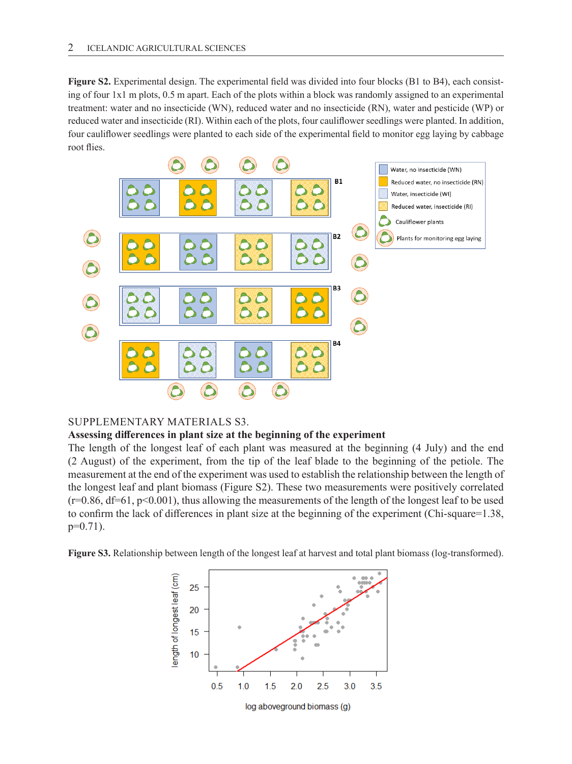**Figure S2.** Experimental design. The experimental field was divided into four blocks (B1 to B4), each consisting of four 1x1 m plots, 0.5 m apart. Each of the plots within a block was randomly assigned to an experimental treatment: water and no insecticide (WN), reduced water and no insecticide (RN), water and pesticide (WP) or reduced water and insecticide (RI). Within each of the plots, four cauliflower seedlings were planted. In addition, four cauliflower seedlings were planted to each side of the experimental field to monitor egg laying by cabbage root flies.



## SUPPLEMENTARY MATERIALS S3.

### **Assessing differences in plant size at the beginning of the experiment**

The length of the longest leaf of each plant was measured at the beginning (4 July) and the end (2 August) of the experiment, from the tip of the leaf blade to the beginning of the petiole. The measurement at the end of the experiment was used to establish the relationship between the length of the longest leaf and plant biomass (Figure S2). These two measurements were positively correlated  $(r=0.86, df=61, p<0.001)$ , thus allowing the measurements of the length of the longest leaf to be used to confirm the lack of differences in plant size at the beginning of the experiment (Chi-square=1.38,  $p=0.71$ ).

**Figure S3.** Relationship between length of the longest leaf at harvest and total plant biomass (log-transformed).